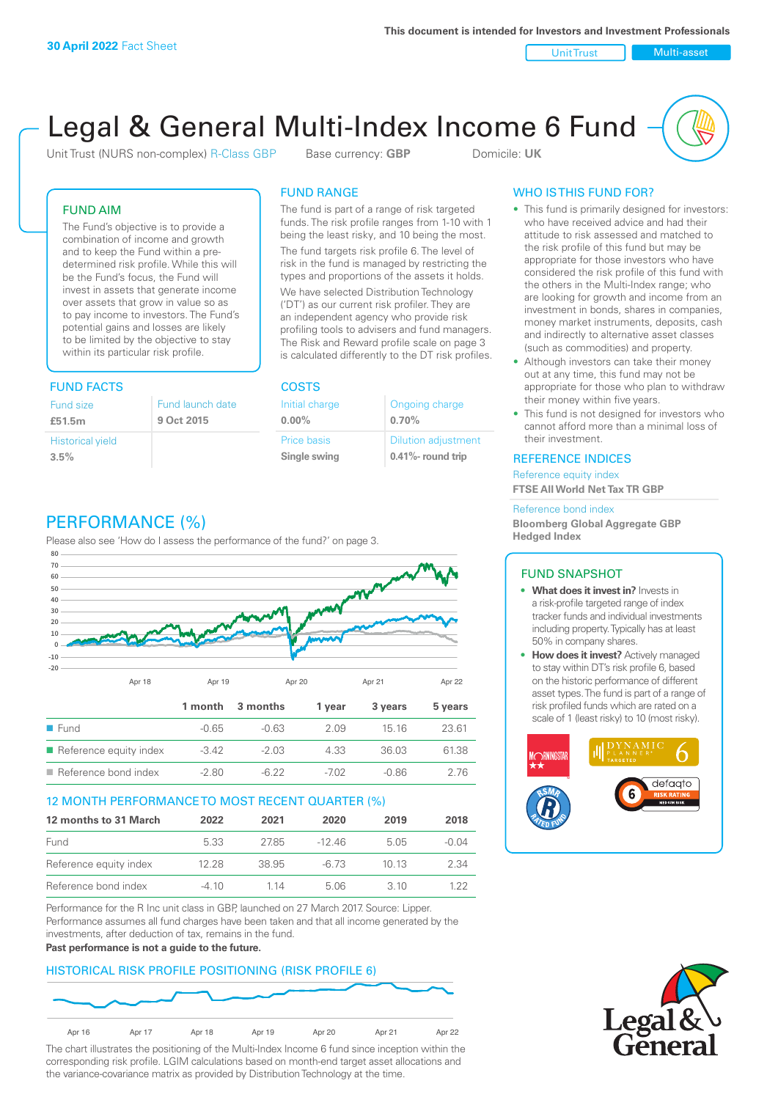Unit Trust Nulti-asset

# Legal & General Multi-Index Income 6 Fund

Unit Trust (NURS non-complex) R-Class GBP Base currency: **GBP** Domicile: UK

# FUND AIM

The Fund's objective is to provide a combination of income and growth and to keep the Fund within a predetermined risk profile. While this will be the Fund's focus, the Fund will invest in assets that generate income over assets that grow in value so as to pay income to investors. The Fund's potential gains and losses are likely to be limited by the objective to stay within its particular risk profile.

# FUND FACTS COSTS

| Fund size               | Fund launch date |
|-------------------------|------------------|
| £51.5m                  | 9 Oct 2015       |
| <b>Historical yield</b> |                  |
| 3.5%                    |                  |

# FUND RANGE

The fund is part of a range of risk targeted funds. The risk profile ranges from 1-10 with 1 being the least risky, and 10 being the most.

The fund targets risk profile 6. The level of risk in the fund is managed by restricting the types and proportions of the assets it holds. We have selected Distribution Technology ('DT') as our current risk profiler. They are an independent agency who provide risk profiling tools to advisers and fund managers. The Risk and Reward profile scale on page 3 is calculated differently to the DT risk profiles.

**0.00%**

| Initial charge | Ongoing charge             |
|----------------|----------------------------|
| $0.00\%$       | 0.70%                      |
| Price basis    | <b>Dilution adjustment</b> |
| Single swing   | 0.41%- round trip          |

# PERFORMANCE (%)

Please also see 'How do I assess the performance of the fund?' on page 3.



# 12 MONTH PERFORMANCE TO MOST RECENT QUARTER (%)

| 12 months to 31 March  | 2022  | 2021  | 2020     | 2019  | 2018  |
|------------------------|-------|-------|----------|-------|-------|
| Fund                   | 5.33  | 2785  | $-12.46$ | 5.05  | -0.04 |
| Reference equity index | 12.28 | 38.95 | -6.73    | 10 13 | 2.34  |
| Reference bond index   | -4.10 | 1 14  | 5.06     | 3 10  | 1 22  |

Performance for the R Inc unit class in GBP, launched on 27 March 2017. Source: Lipper. Performance assumes all fund charges have been taken and that all income generated by the investments, after deduction of tax, remains in the fund.

#### **Past performance is not a guide to the future.**

# HISTORICAL RISK PROFILE POSITIONING (RISK PROFILE 6)



The chart illustrates the positioning of the Multi-Index Income 6 fund since inception within the corresponding risk profile. LGIM calculations based on month-end target asset allocations and the variance-covariance matrix as provided by Distribution Technology at the time.

# WHO IS THIS FUND FOR?

- This fund is primarily designed for investors: who have received advice and had their attitude to risk assessed and matched to the risk profile of this fund but may be appropriate for those investors who have considered the risk profile of this fund with the others in the Multi-Index range; who are looking for growth and income from an investment in bonds, shares in companies, money market instruments, deposits, cash and indirectly to alternative asset classes (such as commodities) and property.
- Although investors can take their money out at any time, this fund may not be appropriate for those who plan to withdraw their money within five years.
- This fund is not designed for investors who cannot afford more than a minimal loss of their investment.

# REFERENCE INDICES

Reference equity index **FTSE All World Net Tax TR GBP**

#### Reference bond index

**Bloomberg Global Aggregate GBP Hedged Index**

### FUND SNAPSHOT

- **• What does it invest in?** Invests in a risk-profile targeted range of index tracker funds and individual investments including property. Typically has at least 50% in company shares.
- **• How does it invest?** Actively managed to stay within DT's risk profile 6, based on the historic performance of different asset types. The fund is part of a range of risk profiled funds which are rated on a scale of 1 (least risky) to 10 (most risky).



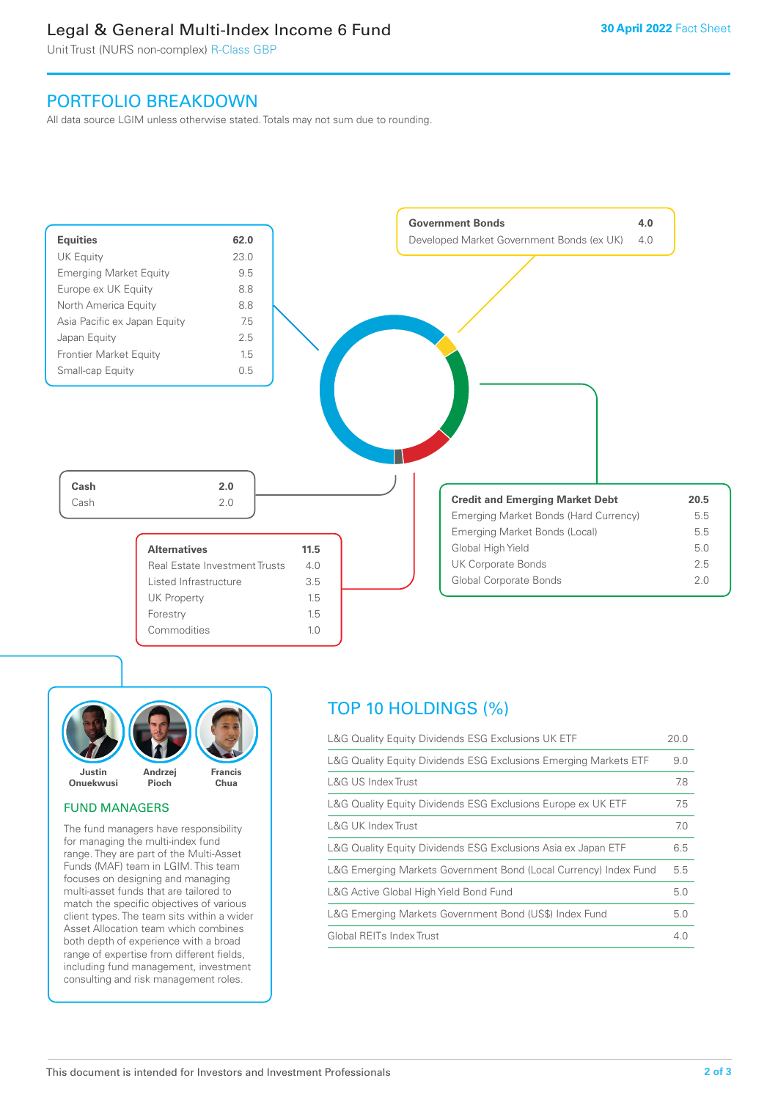# Legal & General Multi-Index Income 6 Fund

Unit Trust (NURS non-complex) R-Class GBP

# PORTFOLIO BREAKDOWN

All data source LGIM unless otherwise stated. Totals may not sum due to rounding.





# FUND MANAGERS

The fund managers have responsibility for managing the multi-index fund range. They are part of the Multi-Asset Funds (MAF) team in LGIM. This team focuses on designing and managing multi-asset funds that are tailored to match the specific objectives of various client types. The team sits within a wider Asset Allocation team which combines both depth of experience with a broad range of expertise from different fields, including fund management, investment consulting and risk management roles.

# TOP 10 HOLDINGS (%)

| L&G Quality Equity Dividends ESG Exclusions UK ETF               | 20.0 |
|------------------------------------------------------------------|------|
| L&G Quality Equity Dividends ESG Exclusions Emerging Markets ETF | 9.0  |
| L&G US Index Trust                                               | 7.8  |
| L&G Quality Equity Dividends ESG Exclusions Europe ex UK ETF     | 7.5  |
| L&G UK Index Trust                                               | 7.0  |
| L&G Quality Equity Dividends ESG Exclusions Asia ex Japan ETF    | 6.5  |
| L&G Emerging Markets Government Bond (Local Currency) Index Fund | 5.5  |
| L&G Active Global High Yield Bond Fund                           | 5.0  |
| L&G Emerging Markets Government Bond (US\$) Index Fund           | 5.0  |
| Global REITs Index Trust                                         | 4.0  |